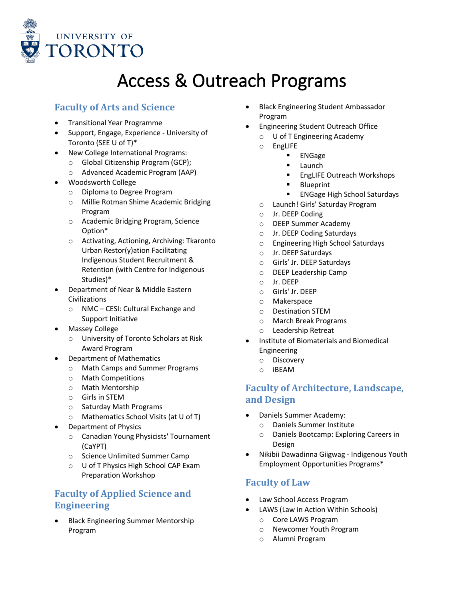

# Access & Outreach Programs

#### **Faculty of Arts and Science**

- Transitional Year Programme
- Support, Engage, Experience University of Toronto (SEE U of T)\*
- New College International Programs:
	- o Global Citizenship Program (GCP);
	- o Advanced Academic Program (AAP)
- Woodsworth College
	- o Diploma to Degree Program
	- o Millie Rotman Shime Academic Bridging Program
	- o Academic Bridging Program, Science Option\*
	- o Activating, Actioning, Archiving: Tkaronto Urban Restor(y)ation Facilitating Indigenous Student Recruitment & Retention (with Centre for Indigenous Studies)\*
- Department of Near & Middle Eastern Civilizations
	- o NMC CESI: Cultural Exchange and Support Initiative
- **Massey College** 
	- o University of Toronto Scholars at Risk Award Program
	- Department of Mathematics
		- o Math Camps and Summer Programs
		- o Math Competitions
		- o Math Mentorship
		- o Girls in STEM
		- o Saturday Math Programs
		- o Mathematics School Visits (at U of T)
- Department of Physics
	- o Canadian Young Physicists' Tournament (CaYPT)
	- o Science Unlimited Summer Camp
	- o U of T Physics High School CAP Exam Preparation Workshop

### **Faculty of Applied Science and Engineering**

• Black Engineering Summer Mentorship Program

- Black Engineering Student Ambassador Program
- Engineering Student Outreach Office
	- o U of T Engineering Academy
	- o EngLIFE
		- ENGage
		- Launch
		- EngLIFE Outreach Workshops
		- **Blueprint**
		- ENGage High School Saturdays
	- o Launch! Girls' Saturday Program
	- o Jr. DEEP Coding
	- o DEEP Summer Academy
	- o Jr. DEEP Coding Saturdays
	- o Engineering High School Saturdays
	- o Jr. DEEP Saturdays
	- o Girls' Jr. DEEP Saturdays
	- o DEEP Leadership Camp
	- o Jr. DEEP
	- o Girls' Jr. DEEP
	- o Makerspace
	- o Destination STEM
	- o March Break Programs
	- o Leadership Retreat
- Institute of Biomaterials and Biomedical Engineering
	- o Discovery
	- o iBEAM

#### **Faculty of Architecture, Landscape, and Design**

- Daniels Summer Academy:
	- o Daniels Summer Institute
	- o Daniels Bootcamp: Exploring Careers in Design
- Nikibii Dawadinna Giigwag Indigenous Youth Employment Opportunities Programs\*

### **Faculty of Law**

- Law School Access Program
- LAWS (Law in Action Within Schools)
	- o Core LAWS Program
	- o Newcomer Youth Program
	- o Alumni Program